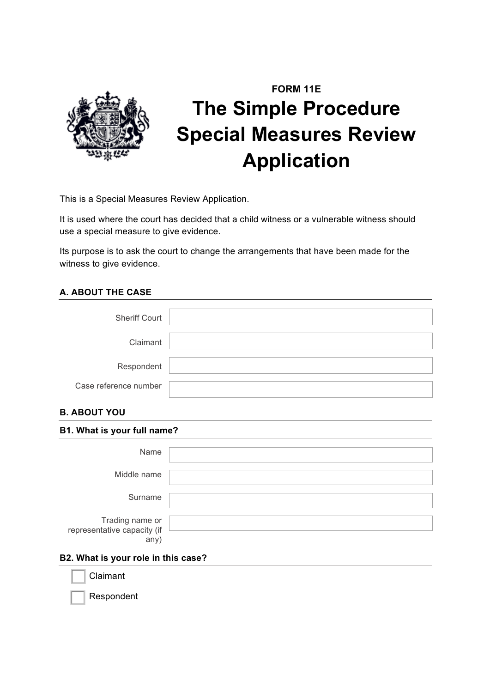

# **FORM 11E The Simple Procedure Special Measures Review Application**

This is a Special Measures Review Application.

It is used where the court has decided that a child witness or a vulnerable witness should use a special measure to give evidence.

Its purpose is to ask the court to change the arrangements that have been made for the witness to give evidence.

# **A. ABOUT THE CASE**

| <b>Sheriff Court</b>  |  |
|-----------------------|--|
| Claimant              |  |
| Respondent            |  |
| Case reference number |  |

# **B. ABOUT YOU**

| B1. What is your full name?                            |  |  |
|--------------------------------------------------------|--|--|
| Name                                                   |  |  |
| Middle name                                            |  |  |
| Surname                                                |  |  |
| Trading name or<br>representative capacity (if<br>any) |  |  |

# **B2. What is your role in this case?**

**Claimant** 

Respondent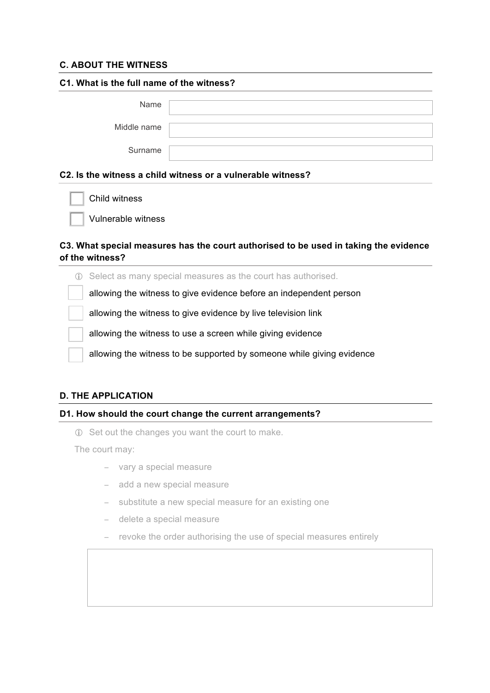## **C. ABOUT THE WITNESS**

| C1. What is the full name of the witness? |  |  |
|-------------------------------------------|--|--|
| Name                                      |  |  |
| Middle name                               |  |  |
| Surname                                   |  |  |
|                                           |  |  |

#### **C2. Is the witness a child witness or a vulnerable witness?**

Vulnerable witness

#### **C3. What special measures has the court authorised to be used in taking the evidence of the witness?**

! Select as many special measures as the court has authorised. allowing the witness to give evidence before an independent person allowing the witness to give evidence by live television link allowing the witness to use a screen while giving evidence allowing the witness to be supported by someone while giving evidence

## **D. THE APPLICATION**

#### **D1. How should the court change the current arrangements?**

! Set out the changes you want the court to make.

The court may:

- − vary a special measure
- − add a new special measure
- − substitute a new special measure for an existing one
- − delete a special measure
- − revoke the order authorising the use of special measures entirely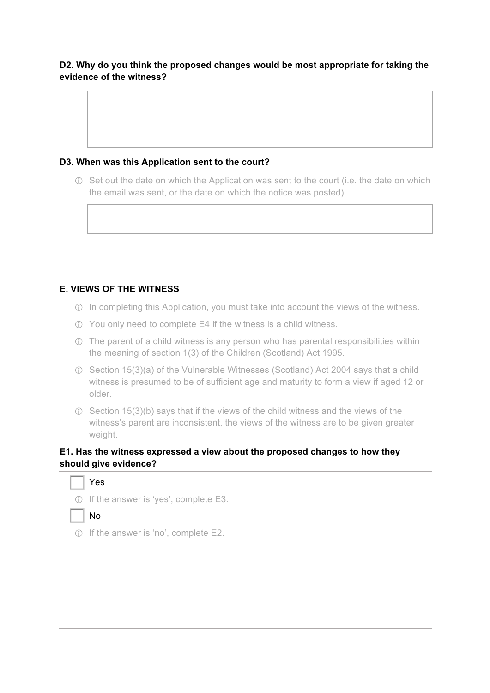## **D2. Why do you think the proposed changes would be most appropriate for taking the evidence of the witness?**

## **D3. When was this Application sent to the court?**

! Set out the date on which the Application was sent to the court (i.e. the date on which the email was sent, or the date on which the notice was posted).

# **E. VIEWS OF THE WITNESS**

- ! In completing this Application, you must take into account the views of the witness.
- ! You only need to complete E4 if the witness is a child witness.
- ! The parent of a child witness is any person who has parental responsibilities within the meaning of section 1(3) of the Children (Scotland) Act 1995.
- ! Section 15(3)(a) of the Vulnerable Witnesses (Scotland) Act 2004 says that a child witness is presumed to be of sufficient age and maturity to form a view if aged 12 or older.
- $\odot$  Section 15(3)(b) says that if the views of the child witness and the views of the witness's parent are inconsistent, the views of the witness are to be given greater weight.

## **E1. Has the witness expressed a view about the proposed changes to how they should give evidence?**





! If the answer is 'no', complete E2.